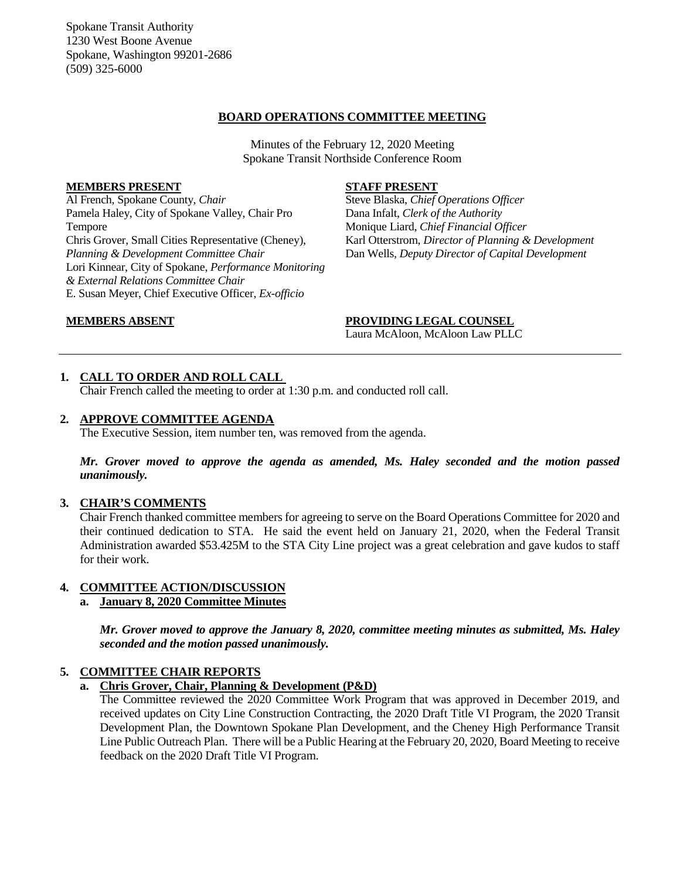Spokane Transit Authority 1230 West Boone Avenue Spokane, Washington 99201-2686 (509) 325-6000

### **BOARD OPERATIONS COMMITTEE MEETING**

Minutes of the February 12, 2020 Meeting Spokane Transit Northside Conference Room

#### **MEMBERS PRESENT**

Al French, Spokane County, *Chair* Pamela Haley, City of Spokane Valley, Chair Pro Tempore Chris Grover, Small Cities Representative (Cheney), *Planning & Development Committee Chair* Lori Kinnear, City of Spokane, *Performance Monitoring & External Relations Committee Chair* E. Susan Meyer, Chief Executive Officer, *Ex-officio*

## **STAFF PRESENT**

Steve Blaska, *Chief Operations Officer* Dana Infalt, *Clerk of the Authority* Monique Liard, *Chief Financial Officer* Karl Otterstrom, *Director of Planning & Development* Dan Wells, *Deputy Director of Capital Development*

**MEMBERS ABSENT PROVIDING LEGAL COUNSEL** Laura McAloon, McAloon Law PLLC

# **1. CALL TO ORDER AND ROLL CALL**

Chair French called the meeting to order at 1:30 p.m. and conducted roll call.

#### **2. APPROVE COMMITTEE AGENDA**

The Executive Session, item number ten, was removed from the agenda.

*Mr. Grover moved to approve the agenda as amended, Ms. Haley seconded and the motion passed unanimously.*

## **3. CHAIR'S COMMENTS**

Chair French thanked committee members for agreeing to serve on the Board Operations Committee for 2020 and their continued dedication to STA. He said the event held on January 21, 2020, when the Federal Transit Administration awarded \$53.425M to the STA City Line project was a great celebration and gave kudos to staff for their work.

#### **4. COMMITTEE ACTION/DISCUSSION**

## **a. January 8, 2020 Committee Minutes**

*Mr. Grover moved to approve the January 8, 2020, committee meeting minutes as submitted, Ms. Haley seconded and the motion passed unanimously.*

# **5. COMMITTEE CHAIR REPORTS**

#### **a. Chris Grover, Chair, Planning & Development (P&D)**

The Committee reviewed the 2020 Committee Work Program that was approved in December 2019, and received updates on City Line Construction Contracting, the 2020 Draft Title VI Program, the 2020 Transit Development Plan, the Downtown Spokane Plan Development, and the Cheney High Performance Transit Line Public Outreach Plan. There will be a Public Hearing at the February 20, 2020, Board Meeting to receive feedback on the 2020 Draft Title VI Program.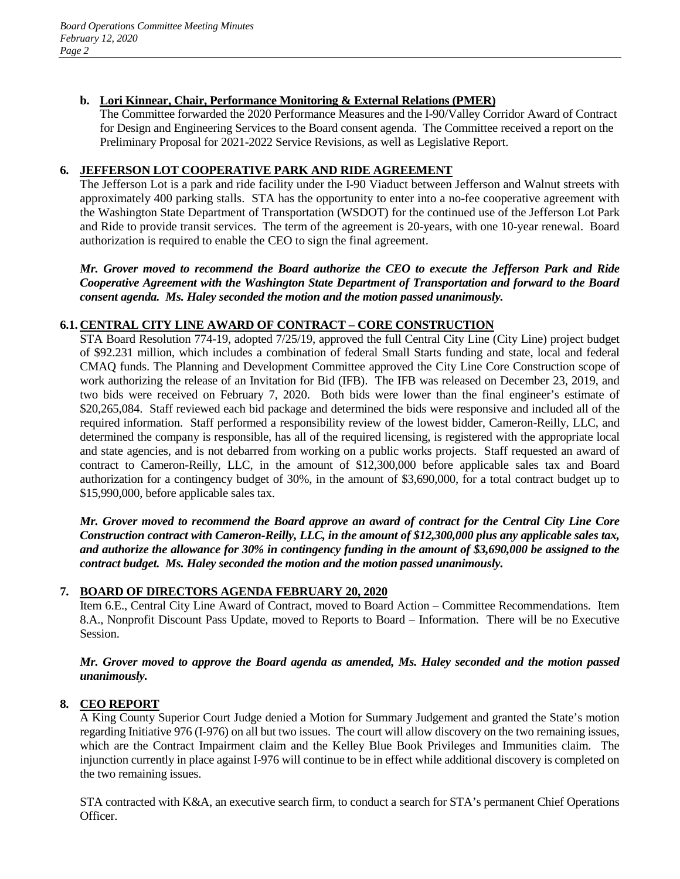# **b. Lori Kinnear, Chair, Performance Monitoring & External Relations (PMER)**

The Committee forwarded the 2020 Performance Measures and the I-90/Valley Corridor Award of Contract for Design and Engineering Services to the Board consent agenda. The Committee received a report on the Preliminary Proposal for 2021-2022 Service Revisions, as well as Legislative Report.

# **6. JEFFERSON LOT COOPERATIVE PARK AND RIDE AGREEMENT**

The Jefferson Lot is a park and ride facility under the I-90 Viaduct between Jefferson and Walnut streets with approximately 400 parking stalls. STA has the opportunity to enter into a no-fee cooperative agreement with the Washington State Department of Transportation (WSDOT) for the continued use of the Jefferson Lot Park and Ride to provide transit services. The term of the agreement is 20-years, with one 10-year renewal. Board authorization is required to enable the CEO to sign the final agreement.

*Mr. Grover moved to recommend the Board authorize the CEO to execute the Jefferson Park and Ride Cooperative Agreement with the Washington State Department of Transportation and forward to the Board consent agenda. Ms. Haley seconded the motion and the motion passed unanimously.*

# **6.1. CENTRAL CITY LINE AWARD OF CONTRACT – CORE CONSTRUCTION**

STA Board Resolution 774-19, adopted 7/25/19, approved the full Central City Line (City Line) project budget of \$92.231 million, which includes a combination of federal Small Starts funding and state, local and federal CMAQ funds. The Planning and Development Committee approved the City Line Core Construction scope of work authorizing the release of an Invitation for Bid (IFB). The IFB was released on December 23, 2019, and two bids were received on February 7, 2020. Both bids were lower than the final engineer's estimate of \$20,265,084. Staff reviewed each bid package and determined the bids were responsive and included all of the required information. Staff performed a responsibility review of the lowest bidder, Cameron-Reilly, LLC, and determined the company is responsible, has all of the required licensing, is registered with the appropriate local and state agencies, and is not debarred from working on a public works projects. Staff requested an award of contract to Cameron-Reilly, LLC, in the amount of \$12,300,000 before applicable sales tax and Board authorization for a contingency budget of 30%, in the amount of \$3,690,000, for a total contract budget up to \$15,990,000, before applicable sales tax.

*Mr. Grover moved to recommend the Board approve an award of contract for the Central City Line Core Construction contract with Cameron-Reilly, LLC, in the amount of \$12,300,000 plus any applicable sales tax, and authorize the allowance for 30% in contingency funding in the amount of \$3,690,000 be assigned to the contract budget. Ms. Haley seconded the motion and the motion passed unanimously.*

# **7. BOARD OF DIRECTORS AGENDA FEBRUARY 20, 2020**

Item 6.E., Central City Line Award of Contract, moved to Board Action – Committee Recommendations. Item 8.A., Nonprofit Discount Pass Update, moved to Reports to Board – Information. There will be no Executive Session.

# *Mr. Grover moved to approve the Board agenda as amended, Ms. Haley seconded and the motion passed unanimously.*

# **8. CEO REPORT**

A King County Superior Court Judge denied a Motion for Summary Judgement and granted the State's motion regarding Initiative 976 (I-976) on all but two issues. The court will allow discovery on the two remaining issues, which are the Contract Impairment claim and the Kelley Blue Book Privileges and Immunities claim. The injunction currently in place against I-976 will continue to be in effect while additional discovery is completed on the two remaining issues.

STA contracted with K&A, an executive search firm, to conduct a search for STA's permanent Chief Operations Officer.